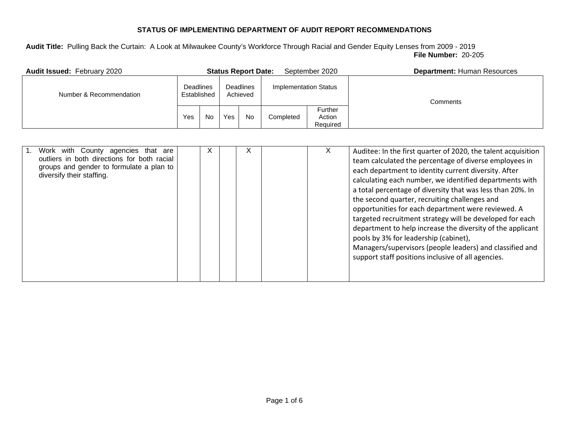| <b>Audit Issued: February 2020</b> |                                 |           |                              | <b>Status Report Date:</b> |                       | September 2020                | <b>Department: Human Resources</b> |
|------------------------------------|---------------------------------|-----------|------------------------------|----------------------------|-----------------------|-------------------------------|------------------------------------|
| Number & Recommendation            | <b>Deadlines</b><br>Established |           | <b>Deadlines</b><br>Achieved |                            | Implementation Status |                               | Comments                           |
|                                    | Yes                             | <b>No</b> | Yes                          | <b>No</b>                  | Completed             | Further<br>Action<br>Required |                                    |

| Work with County agencies<br>that<br>are<br>outliers in both directions for both racial<br>groups and gender to formulate a plan to<br>diversify their staffing. |  | X | X |  | X. | Auditee: In the first quarter of 2020, the talent acquisition<br>team calculated the percentage of diverse employees in<br>each department to identity current diversity. After<br>calculating each number, we identified departments with<br>a total percentage of diversity that was less than 20%. In<br>the second quarter, recruiting challenges and<br>opportunities for each department were reviewed. A<br>targeted recruitment strategy will be developed for each<br>department to help increase the diversity of the applicant<br>pools by 3% for leadership (cabinet),<br>Managers/supervisors (people leaders) and classified and<br>support staff positions inclusive of all agencies. |
|------------------------------------------------------------------------------------------------------------------------------------------------------------------|--|---|---|--|----|------------------------------------------------------------------------------------------------------------------------------------------------------------------------------------------------------------------------------------------------------------------------------------------------------------------------------------------------------------------------------------------------------------------------------------------------------------------------------------------------------------------------------------------------------------------------------------------------------------------------------------------------------------------------------------------------------|
|------------------------------------------------------------------------------------------------------------------------------------------------------------------|--|---|---|--|----|------------------------------------------------------------------------------------------------------------------------------------------------------------------------------------------------------------------------------------------------------------------------------------------------------------------------------------------------------------------------------------------------------------------------------------------------------------------------------------------------------------------------------------------------------------------------------------------------------------------------------------------------------------------------------------------------------|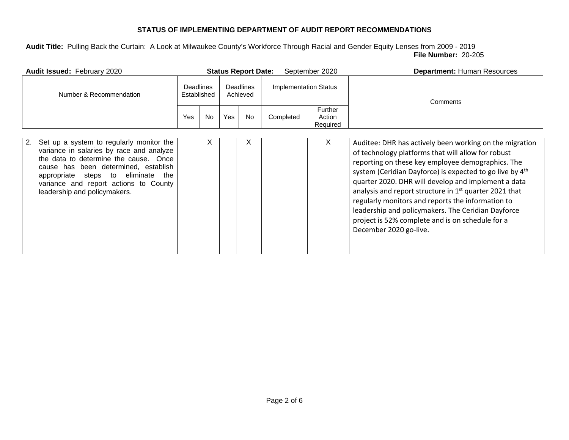| Audit Issued: February 2020                                                                                                                                                                                                                                                                            |     |                                                                 |     | <b>Status Report Date:</b>   |           | September 2020                       | <b>Department: Human Resources</b>                                                                                                                                                                                                                                                                                                                                                                                                                                                                                                                     |
|--------------------------------------------------------------------------------------------------------------------------------------------------------------------------------------------------------------------------------------------------------------------------------------------------------|-----|-----------------------------------------------------------------|-----|------------------------------|-----------|--------------------------------------|--------------------------------------------------------------------------------------------------------------------------------------------------------------------------------------------------------------------------------------------------------------------------------------------------------------------------------------------------------------------------------------------------------------------------------------------------------------------------------------------------------------------------------------------------------|
| Number & Recommendation                                                                                                                                                                                                                                                                                |     | <b>Deadlines</b><br><b>Deadlines</b><br>Established<br>Achieved |     | <b>Implementation Status</b> |           |                                      | Comments                                                                                                                                                                                                                                                                                                                                                                                                                                                                                                                                               |
|                                                                                                                                                                                                                                                                                                        | Yes | <b>No</b>                                                       | Yes | <b>No</b>                    | Completed | <b>Further</b><br>Action<br>Required |                                                                                                                                                                                                                                                                                                                                                                                                                                                                                                                                                        |
| Set up a system to regularly monitor the<br>2.<br>variance in salaries by race and analyze<br>the data to determine the cause. Once<br>cause has been determined, establish<br>appropriate<br>eliminate<br>steps<br>to<br>the<br>variance and report actions to County<br>leadership and policymakers. |     | X                                                               |     | X                            |           | X                                    | Auditee: DHR has actively been working on the migration<br>of technology platforms that will allow for robust<br>reporting on these key employee demographics. The<br>system (Ceridian Dayforce) is expected to go live by 4 <sup>th</sup><br>quarter 2020. DHR will develop and implement a data<br>analysis and report structure in $1st$ quarter 2021 that<br>regularly monitors and reports the information to<br>leadership and policymakers. The Ceridian Dayforce<br>project is 52% complete and is on schedule for a<br>December 2020 go-live. |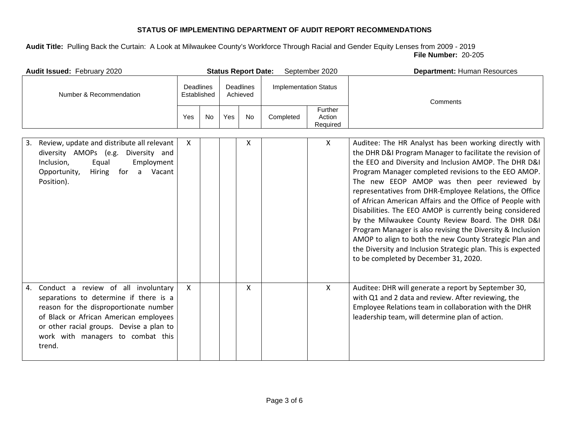| Audit Issued: February 2020                                                                                                                                                                                                                                        |              |                                                          |     | <b>Status Report Date:</b>   |           | September 2020                | Department: Human Resources                                                                                                                                                                                                                                                                                                                                                                                                                                                                                                                                                                                                                                                                                                                                    |
|--------------------------------------------------------------------------------------------------------------------------------------------------------------------------------------------------------------------------------------------------------------------|--------------|----------------------------------------------------------|-----|------------------------------|-----------|-------------------------------|----------------------------------------------------------------------------------------------------------------------------------------------------------------------------------------------------------------------------------------------------------------------------------------------------------------------------------------------------------------------------------------------------------------------------------------------------------------------------------------------------------------------------------------------------------------------------------------------------------------------------------------------------------------------------------------------------------------------------------------------------------------|
| Number & Recommendation                                                                                                                                                                                                                                            |              | <b>Deadlines</b><br>Deadlines<br>Established<br>Achieved |     | <b>Implementation Status</b> |           | Comments                      |                                                                                                                                                                                                                                                                                                                                                                                                                                                                                                                                                                                                                                                                                                                                                                |
|                                                                                                                                                                                                                                                                    | Yes          | <b>No</b>                                                | Yes | No                           | Completed | Further<br>Action<br>Required |                                                                                                                                                                                                                                                                                                                                                                                                                                                                                                                                                                                                                                                                                                                                                                |
| Review, update and distribute all relevant<br>3.<br>diversity AMOPs (e.g. Diversity and<br>Inclusion,<br>Equal<br>Employment<br>Hiring for a Vacant<br>Opportunity,<br>Position).                                                                                  | $\mathsf{X}$ |                                                          |     | X                            |           | $\mathsf{X}$                  | Auditee: The HR Analyst has been working directly with<br>the DHR D&I Program Manager to facilitate the revision of<br>the EEO and Diversity and Inclusion AMOP. The DHR D&I<br>Program Manager completed revisions to the EEO AMOP.<br>The new EEOP AMOP was then peer reviewed by<br>representatives from DHR-Employee Relations, the Office<br>of African American Affairs and the Office of People with<br>Disabilities. The EEO AMOP is currently being considered<br>by the Milwaukee County Review Board. The DHR D&I<br>Program Manager is also revising the Diversity & Inclusion<br>AMOP to align to both the new County Strategic Plan and<br>the Diversity and Inclusion Strategic plan. This is expected<br>to be completed by December 31, 2020. |
| Conduct a review of all involuntary<br>4.<br>separations to determine if there is a<br>reason for the disproportionate number<br>of Black or African American employees<br>or other racial groups. Devise a plan to<br>work with managers to combat this<br>trend. | $\mathsf{x}$ |                                                          |     | X                            |           | $\mathsf{X}$                  | Auditee: DHR will generate a report by September 30,<br>with Q1 and 2 data and review. After reviewing, the<br>Employee Relations team in collaboration with the DHR<br>leadership team, will determine plan of action.                                                                                                                                                                                                                                                                                                                                                                                                                                                                                                                                        |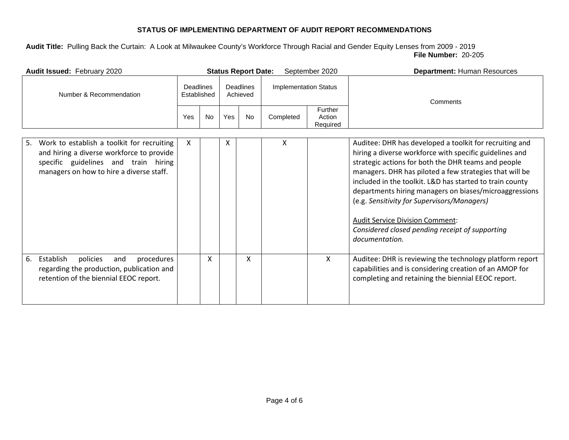| Audit Issued: February 2020                                                                                                                                                       |                          |           |                       | <b>Status Report Date:</b> |                              | September 2020                | <b>Department: Human Resources</b>                                                                                                                                                                                                                                                                                                                                                                                                                                                                                       |
|-----------------------------------------------------------------------------------------------------------------------------------------------------------------------------------|--------------------------|-----------|-----------------------|----------------------------|------------------------------|-------------------------------|--------------------------------------------------------------------------------------------------------------------------------------------------------------------------------------------------------------------------------------------------------------------------------------------------------------------------------------------------------------------------------------------------------------------------------------------------------------------------------------------------------------------------|
| Number & Recommendation                                                                                                                                                           | Deadlines<br>Established |           | Deadlines<br>Achieved |                            | <b>Implementation Status</b> |                               | Comments                                                                                                                                                                                                                                                                                                                                                                                                                                                                                                                 |
|                                                                                                                                                                                   | Yes                      | <b>No</b> | Yes                   | No                         | Completed                    | Further<br>Action<br>Required |                                                                                                                                                                                                                                                                                                                                                                                                                                                                                                                          |
| Work to establish a toolkit for recruiting<br>5.<br>and hiring a diverse workforce to provide<br>specific guidelines and train hiring<br>managers on how to hire a diverse staff. | X                        |           | X                     |                            | X                            |                               | Auditee: DHR has developed a toolkit for recruiting and<br>hiring a diverse workforce with specific guidelines and<br>strategic actions for both the DHR teams and people<br>managers. DHR has piloted a few strategies that will be<br>included in the toolkit. L&D has started to train county<br>departments hiring managers on biases/microaggressions<br>(e.g. Sensitivity for Supervisors/Managers)<br><b>Audit Service Division Comment:</b><br>Considered closed pending receipt of supporting<br>documentation. |
| Establish<br>6.<br>policies<br>procedures<br>and<br>regarding the production, publication and<br>retention of the biennial EEOC report.                                           |                          | X         |                       | X                          |                              | $\mathsf{X}$                  | Auditee: DHR is reviewing the technology platform report<br>capabilities and is considering creation of an AMOP for<br>completing and retaining the biennial EEOC report.                                                                                                                                                                                                                                                                                                                                                |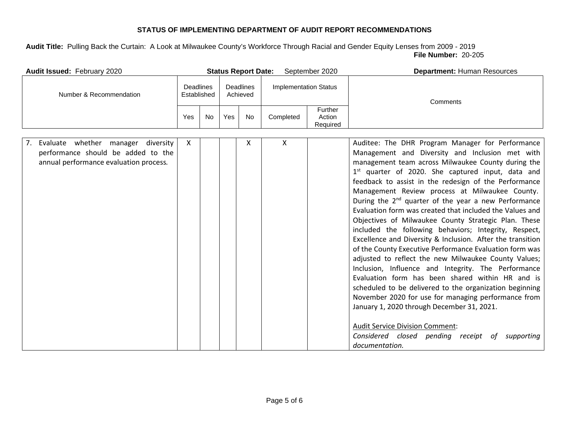| Audit Issued: February 2020                                                                                                       |     |                                                   |     | <b>Status Report Date:</b>   |           | September 2020                | <b>Department: Human Resources</b>                                                                                                                                                                                                                                                                                                                                                                                                                                                                                                                                                                                                                                                                                                                                                                                                                                                                                                                                                                                                                                                                                                                                      |
|-----------------------------------------------------------------------------------------------------------------------------------|-----|---------------------------------------------------|-----|------------------------------|-----------|-------------------------------|-------------------------------------------------------------------------------------------------------------------------------------------------------------------------------------------------------------------------------------------------------------------------------------------------------------------------------------------------------------------------------------------------------------------------------------------------------------------------------------------------------------------------------------------------------------------------------------------------------------------------------------------------------------------------------------------------------------------------------------------------------------------------------------------------------------------------------------------------------------------------------------------------------------------------------------------------------------------------------------------------------------------------------------------------------------------------------------------------------------------------------------------------------------------------|
| Number & Recommendation                                                                                                           |     | Deadlines<br>Deadlines<br>Established<br>Achieved |     | <b>Implementation Status</b> |           | Comments                      |                                                                                                                                                                                                                                                                                                                                                                                                                                                                                                                                                                                                                                                                                                                                                                                                                                                                                                                                                                                                                                                                                                                                                                         |
|                                                                                                                                   | Yes | <b>No</b>                                         | Yes | <b>No</b>                    | Completed | Further<br>Action<br>Required |                                                                                                                                                                                                                                                                                                                                                                                                                                                                                                                                                                                                                                                                                                                                                                                                                                                                                                                                                                                                                                                                                                                                                                         |
| 7.<br>Evaluate<br>whether<br>diversity<br>manager<br>performance should be added to the<br>annual performance evaluation process. | X   |                                                   |     | x                            | X         |                               | Auditee: The DHR Program Manager for Performance<br>Management and Diversity and Inclusion met with<br>management team across Milwaukee County during the<br>1 <sup>st</sup> quarter of 2020. She captured input, data and<br>feedback to assist in the redesign of the Performance<br>Management Review process at Milwaukee County.<br>During the 2 <sup>nd</sup> quarter of the year a new Performance<br>Evaluation form was created that included the Values and<br>Objectives of Milwaukee County Strategic Plan. These<br>included the following behaviors; Integrity, Respect,<br>Excellence and Diversity & Inclusion. After the transition<br>of the County Executive Performance Evaluation form was<br>adjusted to reflect the new Milwaukee County Values;<br>Inclusion, Influence and Integrity. The Performance<br>Evaluation form has been shared within HR and is<br>scheduled to be delivered to the organization beginning<br>November 2020 for use for managing performance from<br>January 1, 2020 through December 31, 2021.<br><b>Audit Service Division Comment:</b><br>Considered closed pending receipt<br>of<br>supporting<br>documentation. |